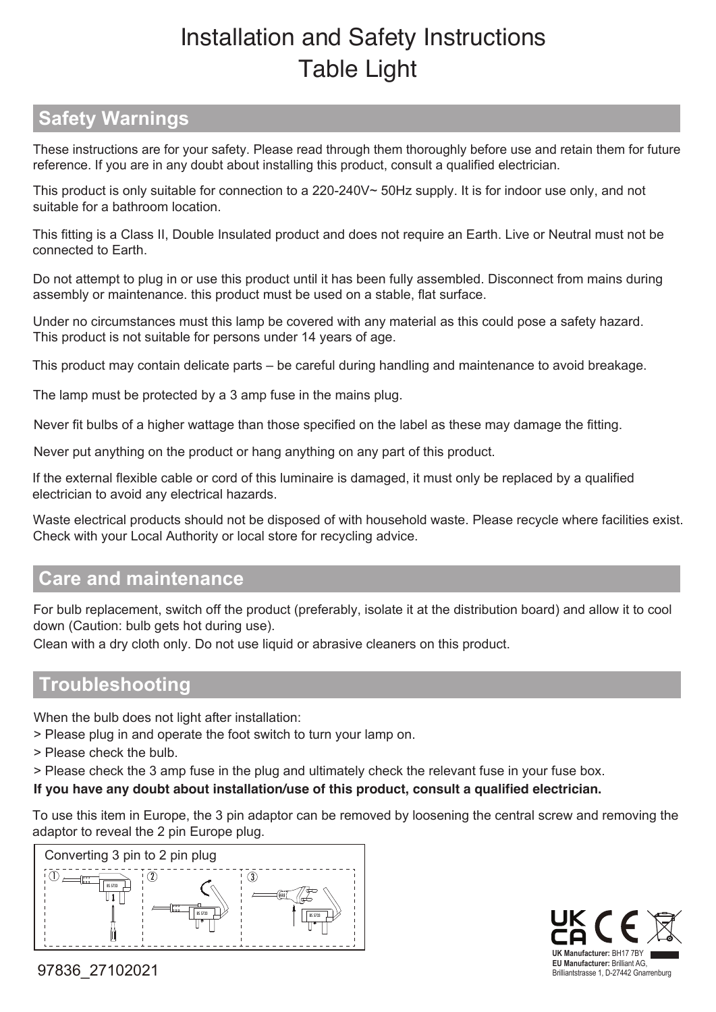# Installation and Safety Instructions Table Light

## **Safety Warnings**

 These instructions are for your safety. Please read through them thoroughly before use and retain them for future reference. If you are in any doubt about installing this product, consult a qualified electrician.

This product is only suitable for connection to a 220-240V~ 50Hz supply. It is for indoor use only, and not suitable for a bathroom location.

This fitting is a Class II, Double Insulated product and does not require an Earth. Live or Neutral must not be connected to Earth.

Do not attempt to plug in or use this product until it has been fully assembled. Disconnect from mains during assembly or maintenance. this product must be used on a stable, flat surface.

Under no circumstances must this lamp be covered with any material as this could pose a safety hazard. This product is not suitable for persons under 14 years of age.

This product may contain delicate parts – be careful during handling and maintenance to avoid breakage.

The lamp must be protected by a 3 amp fuse in the mains plug.

Never fit bulbs of a higher wattage than those specified on the label as these may damage the fitting.

Never put anything on the product or hang anything on any part of this product.

If the external flexible cable or cord of this luminaire is damaged, it must only be replaced by a qualified electrician to avoid any electrical hazards.

Waste electrical products should not be disposed of with household waste. Please recycle where facilities exist. Check with your Local Authority or local store for recycling advice.

## **Care and maintenance**

For bulb replacement, switch off the product (preferably, isolate it at the distribution board) and allow it to cool down (Caution: bulb gets hot during use).

Clean with a dry cloth only. Do not use liquid or abrasive cleaners on this product.

#### **Troubleshooting**

When the bulb does not light after installation:

> Please plug in and operate the foot switch to turn your lamp on.

> Please check the bulb.

> Please check the 3 amp fuse in the plug and ultimately check the relevant fuse in your fuse box.

**If you have any doubt about installation/use of this product, consult a qualified electrician.**

To use this item in Europe, the 3 pin adaptor can be removed by loosening the central screw and removing the adaptor to reveal the 2 pin Europe plug.





97836\_27102021 **EU Manufacturer:** Brilliant AG,